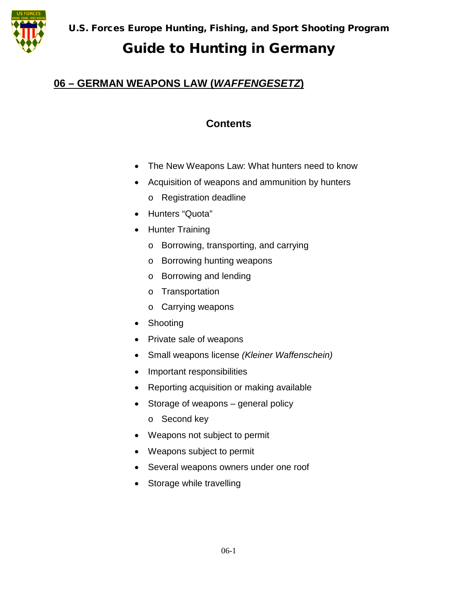

### **06 – GERMAN WEAPONS LAW (***WAFFENGESETZ***)**

## **Contents**

- The New Weapons Law: What hunters need to know
- Acquisition of weapons and ammunition by hunters
	- o Registration deadline
- Hunters "Quota"
- Hunter Training
	- o Borrowing, transporting, and carrying
	- o Borrowing hunting weapons
	- o Borrowing and lending
	- o Transportation
	- o Carrying weapons
- Shooting
- Private sale of weapons
- Small weapons license *(Kleiner Waffenschein)*
- Important responsibilities
- Reporting acquisition or making available
- Storage of weapons general policy
	- o Second key
- Weapons not subject to permit
- Weapons subject to permit
- Several weapons owners under one roof
- Storage while travelling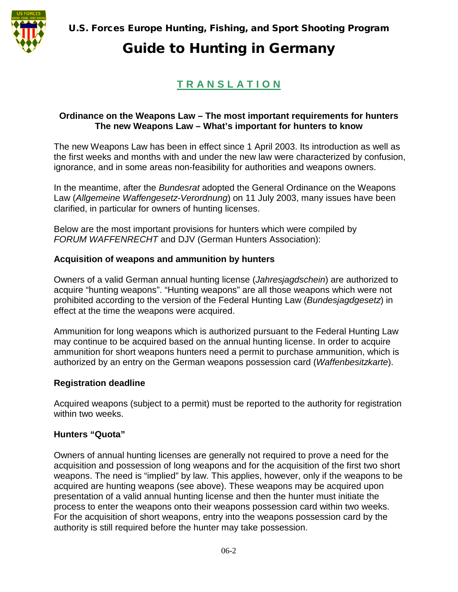

## **T R A N S L A T I O N**

### **Ordinance on the Weapons Law – The most important requirements for hunters The new Weapons Law – What's important for hunters to know**

The new Weapons Law has been in effect since 1 April 2003. Its introduction as well as the first weeks and months with and under the new law were characterized by confusion, ignorance, and in some areas non-feasibility for authorities and weapons owners.

In the meantime, after the *Bundesrat* adopted the General Ordinance on the Weapons Law (*Allgemeine Waffengesetz-Verordnung*) on 11 July 2003, many issues have been clarified, in particular for owners of hunting licenses.

Below are the most important provisions for hunters which were compiled by *FORUM WAFFENRECHT* and DJV (German Hunters Association):

### **Acquisition of weapons and ammunition by hunters**

Owners of a valid German annual hunting license (*Jahresjagdschein*) are authorized to acquire "hunting weapons". "Hunting weapons" are all those weapons which were not prohibited according to the version of the Federal Hunting Law (*Bundesjagdgesetz*) in effect at the time the weapons were acquired.

Ammunition for long weapons which is authorized pursuant to the Federal Hunting Law may continue to be acquired based on the annual hunting license. In order to acquire ammunition for short weapons hunters need a permit to purchase ammunition, which is authorized by an entry on the German weapons possession card (*Waffenbesitzkarte*).

### **Registration deadline**

Acquired weapons (subject to a permit) must be reported to the authority for registration within two weeks.

### **Hunters "Quota"**

Owners of annual hunting licenses are generally not required to prove a need for the acquisition and possession of long weapons and for the acquisition of the first two short weapons. The need is "implied" by law. This applies, however, only if the weapons to be acquired are hunting weapons (see above). These weapons may be acquired upon presentation of a valid annual hunting license and then the hunter must initiate the process to enter the weapons onto their weapons possession card within two weeks. For the acquisition of short weapons, entry into the weapons possession card by the authority is still required before the hunter may take possession.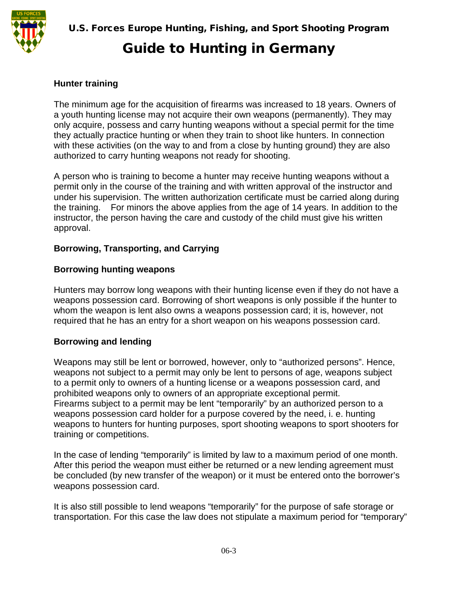#### **Hunter training**

The minimum age for the acquisition of firearms was increased to 18 years. Owners of a youth hunting license may not acquire their own weapons (permanently). They may only acquire, possess and carry hunting weapons without a special permit for the time they actually practice hunting or when they train to shoot like hunters. In connection with these activities (on the way to and from a close by hunting ground) they are also authorized to carry hunting weapons not ready for shooting.

A person who is training to become a hunter may receive hunting weapons without a permit only in the course of the training and with written approval of the instructor and under his supervision. The written authorization certificate must be carried along during the training. For minors the above applies from the age of 14 years. In addition to the instructor, the person having the care and custody of the child must give his written approval.

#### **Borrowing, Transporting, and Carrying**

#### **Borrowing hunting weapons**

Hunters may borrow long weapons with their hunting license even if they do not have a weapons possession card. Borrowing of short weapons is only possible if the hunter to whom the weapon is lent also owns a weapons possession card; it is, however, not required that he has an entry for a short weapon on his weapons possession card.

#### **Borrowing and lending**

Weapons may still be lent or borrowed, however, only to "authorized persons". Hence, weapons not subject to a permit may only be lent to persons of age, weapons subject to a permit only to owners of a hunting license or a weapons possession card, and prohibited weapons only to owners of an appropriate exceptional permit. Firearms subject to a permit may be lent "temporarily" by an authorized person to a weapons possession card holder for a purpose covered by the need, i. e. hunting weapons to hunters for hunting purposes, sport shooting weapons to sport shooters for training or competitions.

In the case of lending "temporarily" is limited by law to a maximum period of one month. After this period the weapon must either be returned or a new lending agreement must be concluded (by new transfer of the weapon) or it must be entered onto the borrower's weapons possession card.

It is also still possible to lend weapons "temporarily" for the purpose of safe storage or transportation. For this case the law does not stipulate a maximum period for "temporary"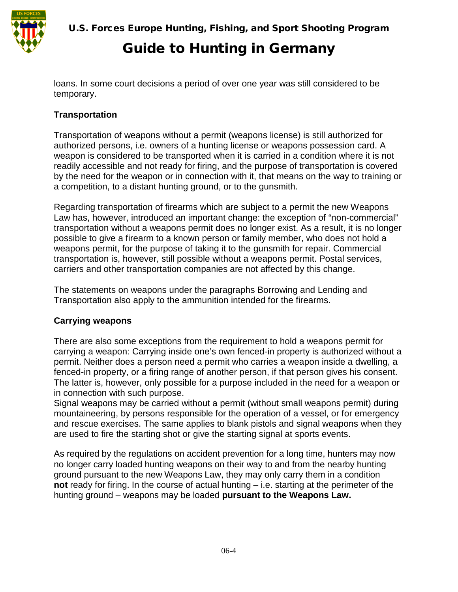

U.S. Forces Europe Hunting, Fishing, and Sport Shooting Program

# Guide to Hunting in Germany

loans. In some court decisions a period of over one year was still considered to be temporary.

### **Transportation**

Transportation of weapons without a permit (weapons license) is still authorized for authorized persons, i.e. owners of a hunting license or weapons possession card. A weapon is considered to be transported when it is carried in a condition where it is not readily accessible and not ready for firing, and the purpose of transportation is covered by the need for the weapon or in connection with it, that means on the way to training or a competition, to a distant hunting ground, or to the gunsmith.

Regarding transportation of firearms which are subject to a permit the new Weapons Law has, however, introduced an important change: the exception of "non-commercial" transportation without a weapons permit does no longer exist. As a result, it is no longer possible to give a firearm to a known person or family member, who does not hold a weapons permit, for the purpose of taking it to the gunsmith for repair. Commercial transportation is, however, still possible without a weapons permit. Postal services, carriers and other transportation companies are not affected by this change.

The statements on weapons under the paragraphs Borrowing and Lending and Transportation also apply to the ammunition intended for the firearms.

### **Carrying weapons**

There are also some exceptions from the requirement to hold a weapons permit for carrying a weapon: Carrying inside one's own fenced-in property is authorized without a permit. Neither does a person need a permit who carries a weapon inside a dwelling, a fenced-in property, or a firing range of another person, if that person gives his consent. The latter is, however, only possible for a purpose included in the need for a weapon or in connection with such purpose.

Signal weapons may be carried without a permit (without small weapons permit) during mountaineering, by persons responsible for the operation of a vessel, or for emergency and rescue exercises. The same applies to blank pistols and signal weapons when they are used to fire the starting shot or give the starting signal at sports events.

As required by the regulations on accident prevention for a long time, hunters may now no longer carry loaded hunting weapons on their way to and from the nearby hunting ground pursuant to the new Weapons Law, they may only carry them in a condition **not** ready for firing. In the course of actual hunting – i.e. starting at the perimeter of the hunting ground – weapons may be loaded **pursuant to the Weapons Law.**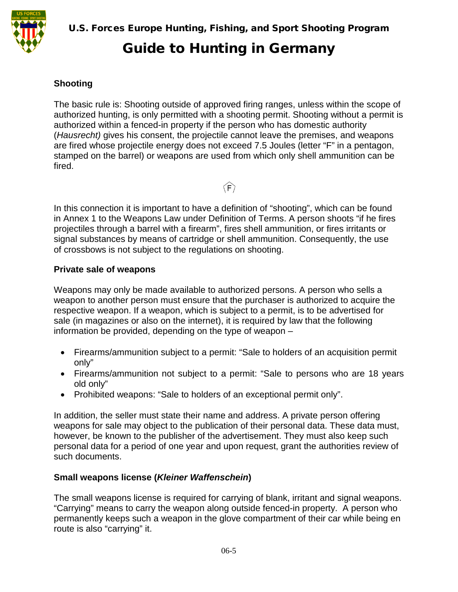

### **Shooting**

The basic rule is: Shooting outside of approved firing ranges, unless within the scope of authorized hunting, is only permitted with a shooting permit. Shooting without a permit is authorized within a fenced-in property if the person who has domestic authority (*Hausrecht)* gives his consent, the projectile cannot leave the premises, and weapons are fired whose projectile energy does not exceed 7.5 Joules (letter "F" in a pentagon, stamped on the barrel) or weapons are used from which only shell ammunition can be fired.

 $\langle \hat{F} \rangle$ 

In this connection it is important to have a definition of "shooting", which can be found in Annex 1 to the Weapons Law under Definition of Terms. A person shoots "if he fires projectiles through a barrel with a firearm", fires shell ammunition, or fires irritants or signal substances by means of cartridge or shell ammunition. Consequently, the use of crossbows is not subject to the regulations on shooting.

#### **Private sale of weapons**

Weapons may only be made available to authorized persons. A person who sells a weapon to another person must ensure that the purchaser is authorized to acquire the respective weapon. If a weapon, which is subject to a permit, is to be advertised for sale (in magazines or also on the internet), it is required by law that the following information be provided, depending on the type of weapon –

- Firearms/ammunition subject to a permit: "Sale to holders of an acquisition permit only"
- Firearms/ammunition not subject to a permit: "Sale to persons who are 18 years old only"
- Prohibited weapons: "Sale to holders of an exceptional permit only".

In addition, the seller must state their name and address. A private person offering weapons for sale may object to the publication of their personal data. These data must, however, be known to the publisher of the advertisement. They must also keep such personal data for a period of one year and upon request, grant the authorities review of such documents.

### **Small weapons license (***Kleiner Waffenschein***)**

The small weapons license is required for carrying of blank, irritant and signal weapons. "Carrying" means to carry the weapon along outside fenced-in property. A person who permanently keeps such a weapon in the glove compartment of their car while being en route is also "carrying" it.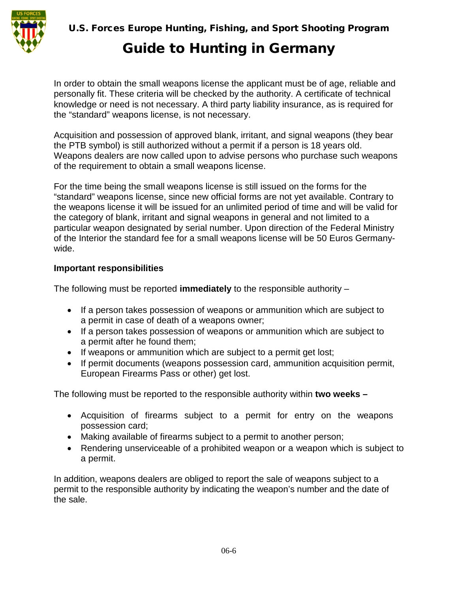

In order to obtain the small weapons license the applicant must be of age, reliable and personally fit. These criteria will be checked by the authority. A certificate of technical knowledge or need is not necessary. A third party liability insurance, as is required for the "standard" weapons license, is not necessary.

Acquisition and possession of approved blank, irritant, and signal weapons (they bear the PTB symbol) is still authorized without a permit if a person is 18 years old. Weapons dealers are now called upon to advise persons who purchase such weapons of the requirement to obtain a small weapons license.

For the time being the small weapons license is still issued on the forms for the "standard" weapons license, since new official forms are not yet available. Contrary to the weapons license it will be issued for an unlimited period of time and will be valid for the category of blank, irritant and signal weapons in general and not limited to a particular weapon designated by serial number. Upon direction of the Federal Ministry of the Interior the standard fee for a small weapons license will be 50 Euros Germanywide.

### **Important responsibilities**

The following must be reported **immediately** to the responsible authority –

- If a person takes possession of weapons or ammunition which are subject to a permit in case of death of a weapons owner;
- If a person takes possession of weapons or ammunition which are subject to a permit after he found them;
- If weapons or ammunition which are subject to a permit get lost;
- If permit documents (weapons possession card, ammunition acquisition permit, European Firearms Pass or other) get lost.

The following must be reported to the responsible authority within **two weeks –**

- Acquisition of firearms subject to a permit for entry on the weapons possession card;
- Making available of firearms subject to a permit to another person;
- Rendering unserviceable of a prohibited weapon or a weapon which is subject to a permit.

In addition, weapons dealers are obliged to report the sale of weapons subject to a permit to the responsible authority by indicating the weapon's number and the date of the sale.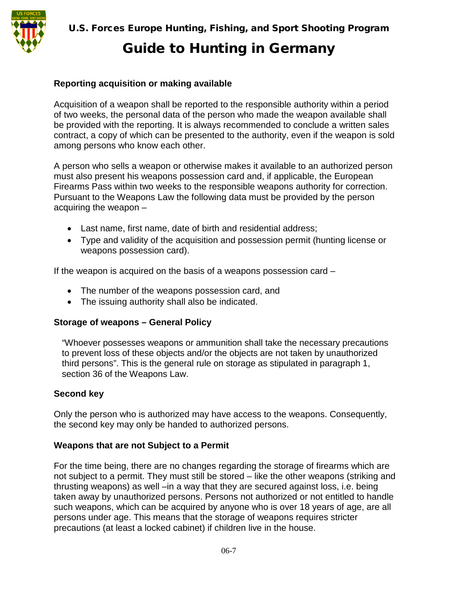

#### **Reporting acquisition or making available**

Acquisition of a weapon shall be reported to the responsible authority within a period of two weeks, the personal data of the person who made the weapon available shall be provided with the reporting. It is always recommended to conclude a written sales contract, a copy of which can be presented to the authority, even if the weapon is sold among persons who know each other.

A person who sells a weapon or otherwise makes it available to an authorized person must also present his weapons possession card and, if applicable, the European Firearms Pass within two weeks to the responsible weapons authority for correction. Pursuant to the Weapons Law the following data must be provided by the person acquiring the weapon –

- Last name, first name, date of birth and residential address;
- Type and validity of the acquisition and possession permit (hunting license or weapons possession card).

If the weapon is acquired on the basis of a weapons possession card –

- The number of the weapons possession card, and
- The issuing authority shall also be indicated.

#### **Storage of weapons – General Policy**

"Whoever possesses weapons or ammunition shall take the necessary precautions to prevent loss of these objects and/or the objects are not taken by unauthorized third persons". This is the general rule on storage as stipulated in paragraph 1, section 36 of the Weapons Law.

### **Second key**

Only the person who is authorized may have access to the weapons. Consequently, the second key may only be handed to authorized persons.

#### **Weapons that are not Subject to a Permit**

For the time being, there are no changes regarding the storage of firearms which are not subject to a permit. They must still be stored – like the other weapons (striking and thrusting weapons) as well –in a way that they are secured against loss, i.e. being taken away by unauthorized persons. Persons not authorized or not entitled to handle such weapons, which can be acquired by anyone who is over 18 years of age, are all persons under age. This means that the storage of weapons requires stricter precautions (at least a locked cabinet) if children live in the house.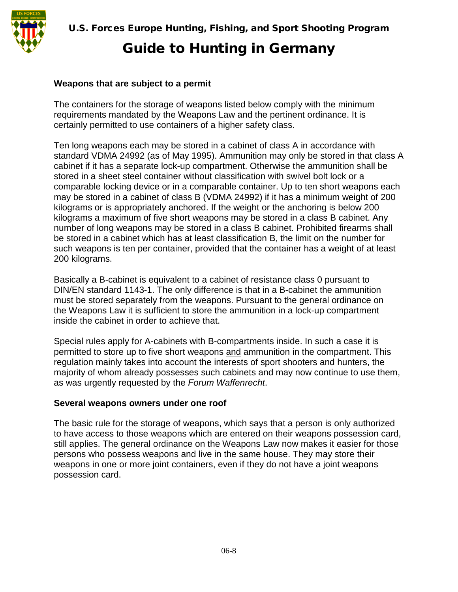#### **Weapons that are subject to a permit**

The containers for the storage of weapons listed below comply with the minimum requirements mandated by the Weapons Law and the pertinent ordinance. It is certainly permitted to use containers of a higher safety class.

Ten long weapons each may be stored in a cabinet of class A in accordance with standard VDMA 24992 (as of May 1995). Ammunition may only be stored in that class A cabinet if it has a separate lock-up compartment. Otherwise the ammunition shall be stored in a sheet steel container without classification with swivel bolt lock or a comparable locking device or in a comparable container. Up to ten short weapons each may be stored in a cabinet of class B (VDMA 24992) if it has a minimum weight of 200 kilograms or is appropriately anchored. If the weight or the anchoring is below 200 kilograms a maximum of five short weapons may be stored in a class B cabinet. Any number of long weapons may be stored in a class B cabinet. Prohibited firearms shall be stored in a cabinet which has at least classification B, the limit on the number for such weapons is ten per container, provided that the container has a weight of at least 200 kilograms.

Basically a B-cabinet is equivalent to a cabinet of resistance class 0 pursuant to DIN/EN standard 1143-1. The only difference is that in a B-cabinet the ammunition must be stored separately from the weapons. Pursuant to the general ordinance on the Weapons Law it is sufficient to store the ammunition in a lock-up compartment inside the cabinet in order to achieve that.

Special rules apply for A-cabinets with B-compartments inside. In such a case it is permitted to store up to five short weapons and ammunition in the compartment. This regulation mainly takes into account the interests of sport shooters and hunters, the majority of whom already possesses such cabinets and may now continue to use them, as was urgently requested by the *Forum Waffenrecht*.

#### **Several weapons owners under one roof**

The basic rule for the storage of weapons, which says that a person is only authorized to have access to those weapons which are entered on their weapons possession card, still applies. The general ordinance on the Weapons Law now makes it easier for those persons who possess weapons and live in the same house. They may store their weapons in one or more joint containers, even if they do not have a joint weapons possession card.